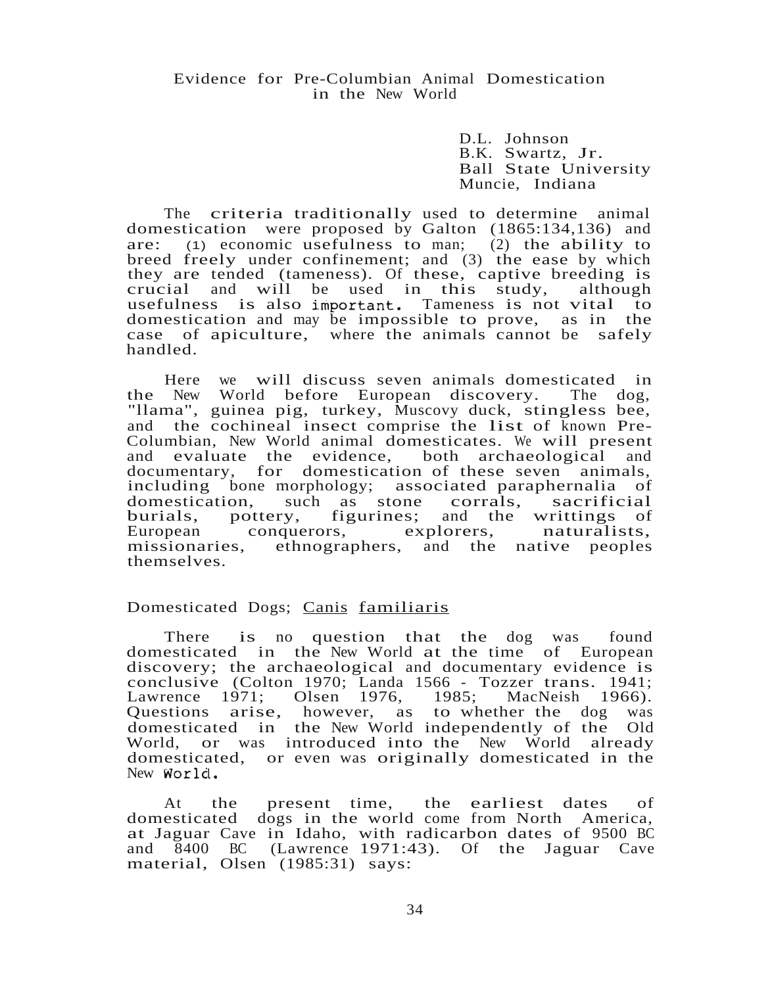## Evidence for Pre-Columbian Animal Domestication in the New World

D.L. Johnson B.K. Swartz, Jr. Ball State University Muncie, Indiana

The criteria traditionally used to determine animal domestication were proposed by Galton (1865:134,136) and are: (1) economic usefulness to man; (2) the ability to breed freely under confinement; and (3) the ease by which they are tended (tameness). Of these, captive breeding is crucial and will be used in this study, although crucial and will be used in this study, usefulness is also important. Tameness is not vital to domestication and may be impossible to prove, as in the case of apiculture, where the animals cannot be safely handled.

Here we will discuss seven animals domesticated in the New World before European discovery. The dog, "llama", guinea pig, turkey, Muscovy duck, stingless bee, and the cochineal insect comprise the list of known Prethe cochineal insect comprise the list of known Pre-Columbian, New World animal domesticates. We will present and evaluate the evidence, both archaeological and documentary, for domestication of these seven animals, including bone morphology; associated paraphernalia of domestication, such as stone corrals, sacrificial<br>burials, pottery, figurines; and the writtings of burials, pottery, figurines; and the writtings of European conquerors, explorers, naturalists, conquerors, explorers, missionaries, ethnographers, and the native peoples themselves.

## Domesticated Dogs; Canis familiaris

There is no question that the dog was found domesticated in the New World at the time of European discovery; the archaeological and documentary evidence is conclusive (Colton 1970; Landa 1566 - Tozzer trans. 1941; Lawrence 1971; Olsen 1976, 1985; MacNeish 1966). Lawrence 1971; Olsen 1976, 1985; MacNeish 1966).<br>Questions arise, however, as to whether the dog was domesticated in the New World independently of the Old World, or was introduced into the New World already domesticated, or even was originally domesticated in the New World.

At the present time, the earliest dates of domesticated dogs in the world come from North America, at Jaguar Cave in Idaho, with radicarbon dates of 9500 BC and 8400 BC (Lawrence 1971:43). Of the Jaguar Cave material, Olsen (1985:31) says: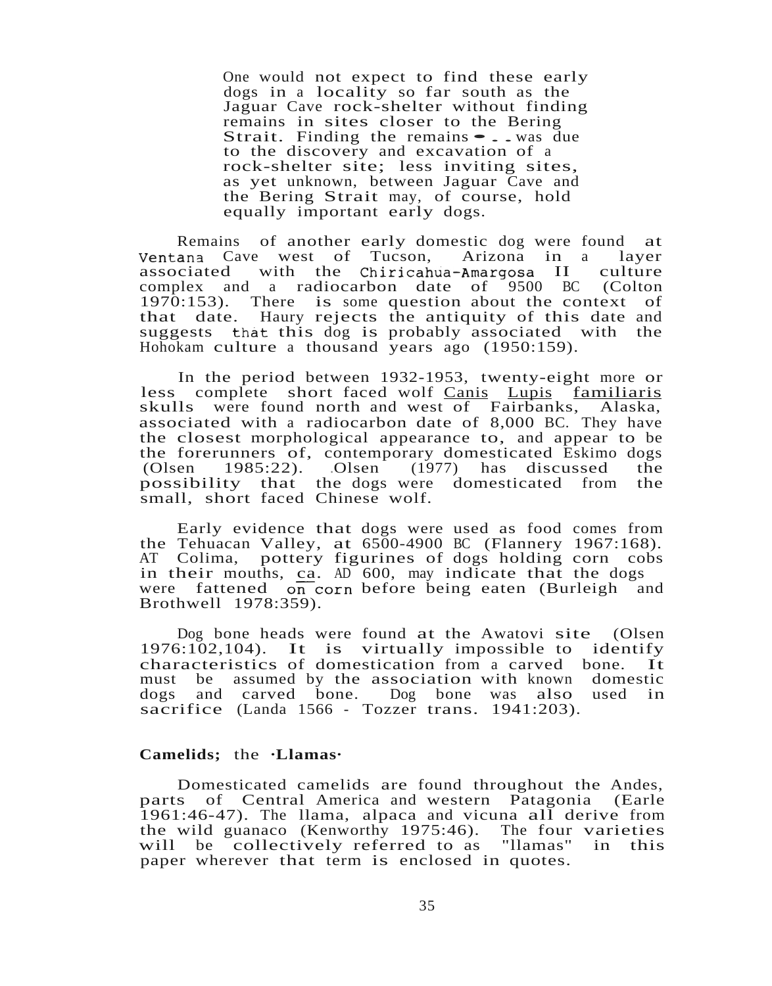One would not expect to find these early dogs in a locality so far south as the Jaguar Cave rock-shelter without finding remains in sites closer to the Bering Strait. Finding the remains • . . was due to the discovery and excavation of a rock-shelter site; less inviting sites, as yet unknown, between Jaguar Cave and the Bering Strait may, of course, hold equally important early dogs.

Remains of another early domestic dog were found at ana Cave west of Tucson, Arizona in a layer Ventana Cave west of Tucson, Arizona in a layer<br>associated with the Chiricahua-Amargosa II culture associated with the Chiricahua-Amargosa II complex and a radiocarbon date of 9500 BC (Colton 1970:153). There is some question about the context of that date. Haury rejects the antiquity of this date and suggests that this dog is probably associated with the Hohokam culture a thousand years ago (1950:159).

In the period between 1932-1953, twenty-eight more or less complete short faced wolf Canis Lupis familiaris skulls were found north and west of Fairbanks, Alaska, were found north and west of Fairbanks, Alaska, associated with a radiocarbon date of 8,000 BC. They have the closest morphological appearance to, and appear to be the forerunners of, contemporary domesticated Eskimo dogs<br>(Olsen 1985:22). Olsen (1977) has discussed the  $(Olsen \t1985:22)$ . Olsen  $(1977)$  has discussed possibility that the dogs were domesticated from the small, short faced Chinese wolf.

Early evidence that dogs were used as food comes from the Tehuacan Valley, at 6500-4900 BC (Flannery 1967:168). AT Colima, pottery figurines of dogs holding corn cobs in their mouths, ca. AD 600, may indicate that the dogs were fattened on corn before being eaten (Burleigh and Brothwell 1978:359).

Dog bone heads were found at the Awatovi site (Olsen Dog bone heads were found at the Awatovi site (Ofsen<br>1976:102,104). It is virtually impossible to identify characteristics of domestication from <sup>a</sup> carved bone. It must be assumed by the association with known domestic dogs and carved bone. Dog bone was also used in dogs and carved bone. Dog bone was also sacrifice (Landa 1566 - Tozzer trans. 1941:203).

### **Camelids;** the **·Llamas·**

Domesticated camelids are found throughout the Andes, parts of Central America and western Patagonia (Earle 1961:46-47). The llama, alpaca and vicuna all derive from the wild guanaco (Kenworthy 1975:46). The four varieties will be collectively referred to as "llamas" in this paper wherever that term is enclosed in quotes.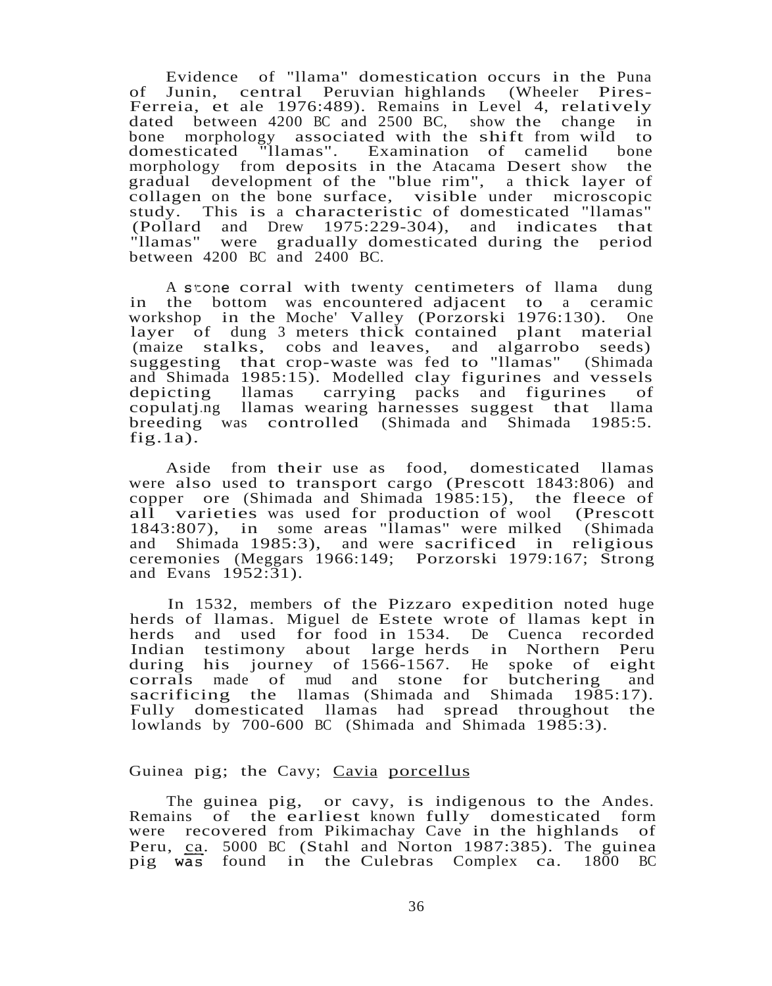Evidence of "llama" domestication occurs in the Puna of Junin, central Peruvian highlands (Wheeler Pires-Ferreia, et ale 1976:489). Remains in Level 4, relatively dated between 4200 BC and 2500 BC, show the change in bone morphology associated with the shift from wild to domesticated "llamas". Examination of camelid bone domesticated "llamas". Examination of camelid morphology from deposits in the Atacama Desert show the gradual development of the "blue rim", a thick layer of collagen on the bone surface, visible under microscopic study. This is <sup>a</sup> characteristic of domesticated "llamas" (Pollard and Drew 1975:229-304), and indicates that "llamas" were gradually domesticated during the period between 4200 BC and 2400 BC.

A stone corral with twenty centimeters of llama dung in the bottom was encountered adjacent to a ceramic workshop in the Moche' Valley (Porzorski 1976:130). One layer of dung 3 meters thick contained plant material (maize stalks, cobs and leaves, and algarrobo seeds) suggesting that crop-waste was fed to "llamas" (Shimada and Shimada 1985:15). Modelled clay figurines and vessels depicting llamas carrying packs and figurines of copulatj.ng llamas wearing harnesses suggest that llama breeding was controlled (Shimada and Shimada 1985:5. fig.1a).

Aside from their use as food, domesticated llamas were also used to transport cargo (Prescott 1843:806) and copper ore (Shimada and Shimada 1985:15), the fleece of all varieties was used for production of wool (Prescott 1843:807), in some areas "Ilamas" were milked (Shimada and Shimada 1985:3), and were sacrificed in religious Shimada  $1985:3$ , and were sacrificed in religious ceremonies (Meggars 1966:149; Porzorski 1979:167; Strong and Evans 1952:31).

In 1532, members of the Pizzaro expedition noted huge herds of llamas. Miguel de Estete wrote of llamas kept in herds and used for food in 1534. De Cuenca recorded Indian testimony about large herds in Northern Peru during his journey of 1566-1567. He spoke of eight corrals made of mud and stone for butchering and sacrificing the llamas (Shimada and Shimada 1985:17). Fully domesticated llamas had spread throughout the lowlands by 700-600 BC (Shimada and Shimada 1985:3).

## Guinea pig; the Cavy; Cavia porcellus

The guinea pig, or cavy, is indigenous to the Andes.<br>Remains of the earliest known fully domesticated form of the earliest known fully domesticated form were recovered from Pikimachay Cave in the highlands of Peru, ca. 5000 BC (Stahl and Norton 1987:385). The guinea pig was found in the Culebras Complex ca. 1800 BC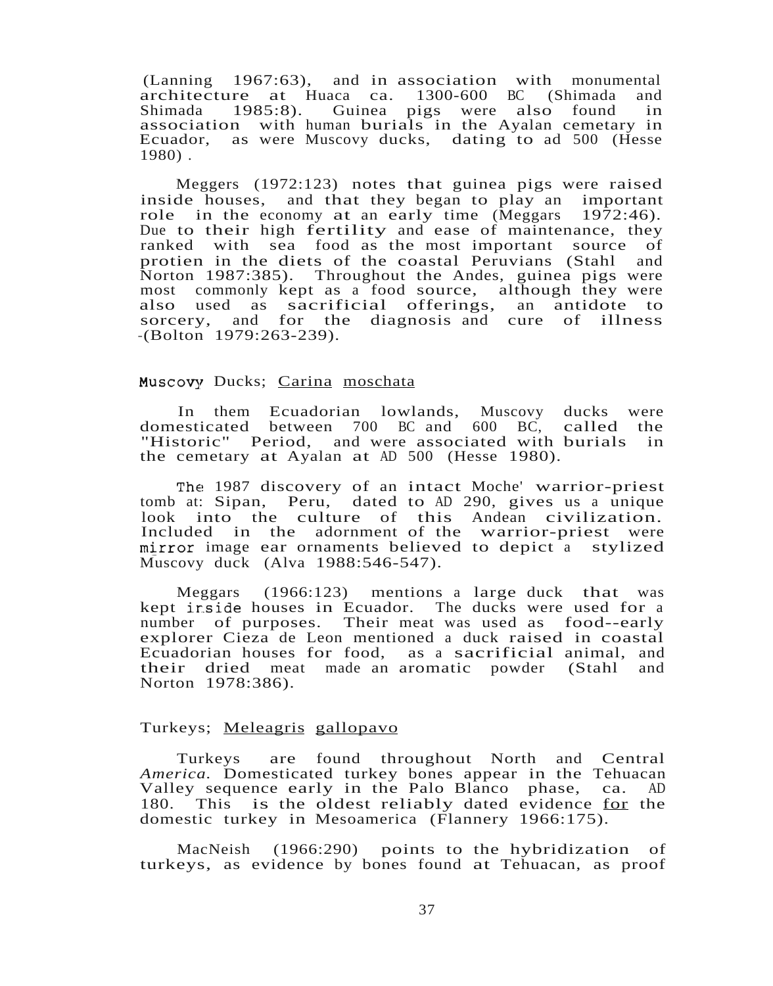(Lanning 1967:63), and in association with monumental architecture at Huaca ca. 1300-600 BC (Shimada and Shimada 1985:8). Guinea pigs were also found in association with human burials in the Ayalan cemetary in Ecuador, as were Muscovy ducks, dating to ad 500 (Hesse 1980) .

Meggers (1972:123) notes that guinea pigs were raised inside houses, and that they began to play an important role in the economy at an early time (Meggars 1972:46). Due to their high fertility and ease of maintenance, they ranked with sea food as the most important source of protien in the diets of the coastal Peruvians (Stahl and Norton 1987:385). Throughout the Andes, guinea pigs were most commonly kept as a food source, although they were also used as sacrificial offerings, an antidote to sorcery, and for the diagnosis and cure of illness -(Bolton 1979:263-239).

#### Muscovy Ducks; Carina moschata

In them Ecuadorian lowlands, Muscovy ducks were domesticated between 700 BC and 600 BC, called the "Historic" Period, and were associated with burials in the cemetary at Ayalan at AD 500 (Hesse 1980).

The 1987 discovery of an intact Moche' warrior-priest tomb at: Sipan, Peru, dated to AD 290, gives us a unique look into the culture of this Andean civilization. Included in the adornment of the warrior-priest were mirror image ear ornaments believed to depict a stylized Muscovy duck (Alva 1988:546-547).

Meggars (1966:123) mentions <sup>a</sup> large duck that was kept inside houses in Ecuador. The ducks were used for a number of purposes. Their meat was used as food--early explorer Cieza de Leon mentioned a duck raised in coastal Ecuadorian houses for food, as <sup>a</sup> sacrificial animal, and their dried meat made an aromatic powder (Stahl Norton 1978:386).

#### Turkeys; Meleagris gallopavo

Turkeys are found throughout North and Central *America.* Domesticated turkey bones appear in the Tehuacan Valley sequence early in the Palo Blanco phase, ca. AD 180. This is the oldest reliably dated evidence for the domestic turkey in Mesoamerica (Flannery 1966:175).

MacNeish (1966:290) points to the hybridization of turkeys, as evidence by bones found at Tehuacan, as proof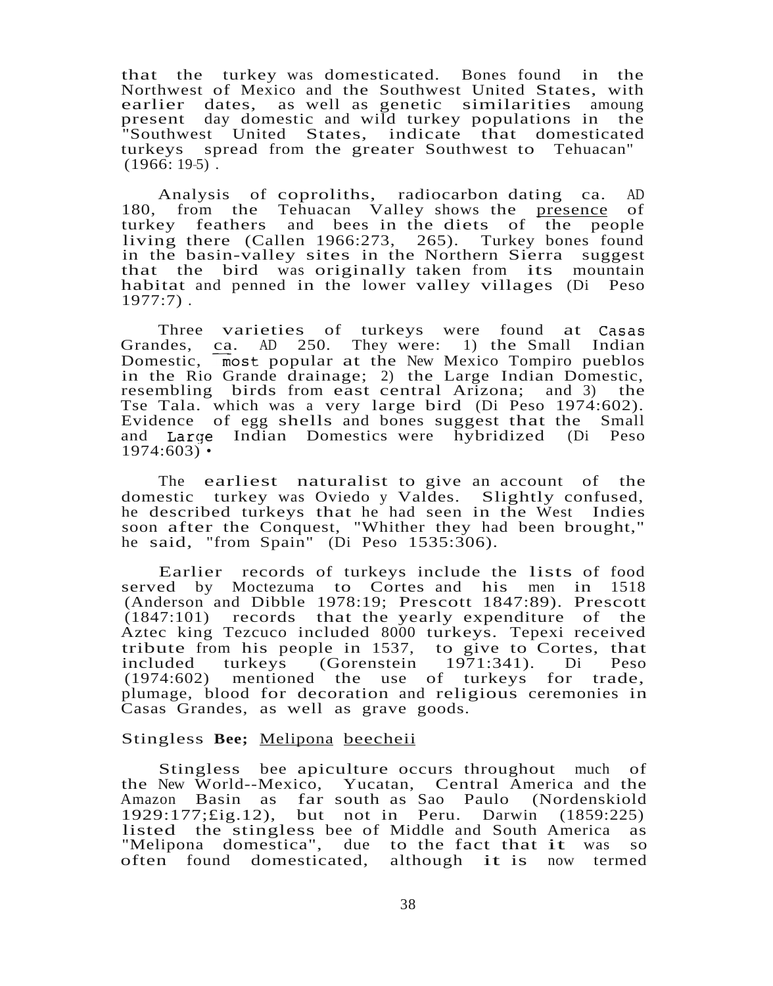that the turkey was domesticated. Bones found in the Northwest of Mexico and the Southwest United States, with earlier dates, as well as genetic similarities amoung<br>present day domestic and wild turkey populations in the present day domestic and wild turkey populations in "Southwest United States, indicate that domesticated turkeys spread from the greater Southwest to Tehuacan"  $(1966: 195)$ .

Analysis of coproliths, radiocarbon dating ca. AD 180, from the Tehuacan Valley shows the presence of turkey feathers and bees in the diets of the people living there (Callen 1966:273, 265). Turkey bones found in the basin-valley sites in the Northern Sierra suggest that the bird was originally taken from its mountain habitat and penned in the lower valley villages (Di Peso  $1977:7$ ).

Three varieties of turkeys were found at Casas Grandes, ca. AD 250. They were: 1) the Small Indian Domestic,  $\frac{\alpha_1}{\alpha_2}$  and  $\frac{\alpha_2}{\alpha_3}$  at the New Mexico Tompiro pueblos in the Rio Grande drainage; 2) the Large Indian Domestic, resembling birds from east central Arizona; and 3) the Tse Tala. which was a very large bird (Di Peso 1974:602). Evidence of egg shells and bones suggest that the Small and Larqe Indian Domestics were hybridized (Di Peso  $1974:603$  •

The earliest naturalist to give an account of the domestic turkey was Oviedo y Valdes. Slightly confused, he described turkeys that he had seen in the West Indies soon after the Conquest, "Whither they had been brought," he said, "from Spain" (Di Peso 1535:306).

Earlier records of turkeys include the lists of food served by Moctezuma to Cortes and his men in 1518 (Anderson and Dibble 1978:19; Prescott 1847:89). Prescott (1847:101) records that the yearly expenditure of the Aztec king Tezcuco included 8000 turkeys. Tepexi received tribute from his people in 1537, to give to Cortes, that  $IGorenstein$  1971:341). Di Peso (1974:602) mentioned the use of turkeys for trade, plumage, blood for decoration and religious ceremonies in Casas Grandes, as well as grave goods.

#### Stingless **Bee;** Melipona beecheii

Stingless bee apiculture occurs throughout much of the New World--Mexico, Yucatan, Central America and the Amazon Basin as far south as Sao Paulo (Nordenskiold 1929:177;£ig.12), but not in Peru. Darwin (1859:225) listed the stingless bee of Middle and South America as "Melipona domestica", due to the fact that it was so<br>often found domesticated, although it is now termed often found domesticated,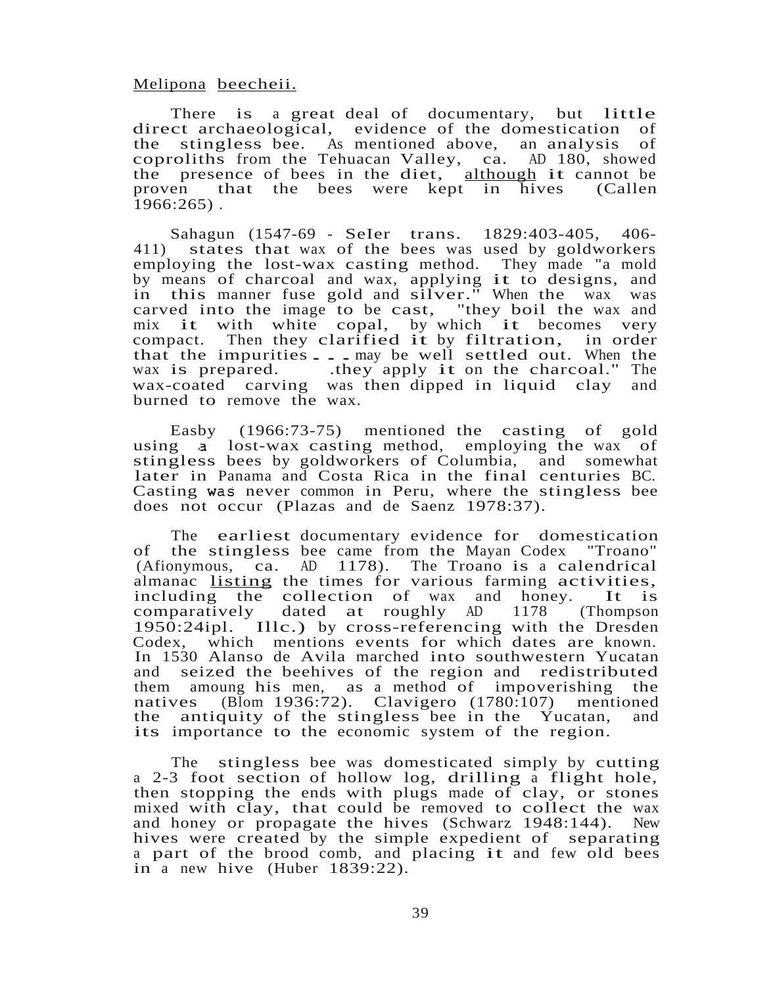## Melipona beecheii.

There is <sup>a</sup> great deal of documentary, but little direct archaeological, evidence of the domestication of the stingless bee. As mentioned above, an analysis of coproliths from the Tehuacan Valley, ca. AD 180, showed the presence of bees in the diet, although it cannot be proven that the bees were kept in hives (Callen that the bees were kept in hives (Callen  $1966:265$ ).

Sahagun (1547-69 - SeIer trans. 1829:403-405, 406- 411) states that wax of the bees was used by goldworkers employing the lost-wax casting method. They made "a mold employing the lost-wax casting method. They made a mold<br>by means of charcoal and wax, applying it to designs, and in this manner fuse gold and silver." When the wax was carved into the image to be cast, "they boil the wax and mix it with white copal, by which it becomes very compact. Then they clarified it by filtration, in order compact. Then they clarified it by filtration, that the impurities  $\ldots$  may be well settled out. When the wax is prepared. .they apply it on the charcoal." The wax-coated carving was then dipped in liquid clay and burned to remove the wax.

Easby (1966:73-75) mentioned the casting of gold using a lost-wax casting method, employing the wax of stingless bees by goldworkers of Columbia, and somewhat later in Panama and Costa Rica in the final centuries BC. Casting was never common in Peru, where the stingless bee does not occur (Plazas and de Saenz 1978:37).

The earliest documentary evidence for domestication of the stingless bee came from the Mayan Codex "Troano" (Afionymous, ca. AD 1178). The Troano is <sup>a</sup> calendrical almanac <u>listing</u> the times for various farming activities,<br>including the collection of wax and honey. It is annanac **ISTING** the times for various raining activities, comparatively dated at roughly AD 1178 (Thompson comparatively dated at roughly AD 1178 (Thompson 1950:24ipl. Illc.) by cross-referencing with the Dresden Codex, which mentions events for which dates are known. In 1530 Alanso de Avila marched into southwestern Yucatan and seized the beehives of the region and redistributed them amoung his men, as a method of impoverishing the natives (Blom 1936:72). Clavigero (1780:107) mentioned the antiquity of the stingless bee in the Yucatan, and its importance to the economic system of the region.

The stingless bee was domesticated simply by cutting <sup>a</sup> 2-3 foot section of hollow log, drilling <sup>a</sup> flight hole, then stopping the ends with plugs made of clay, or stones mixed with clay, that could be removed to collect the wax and honey or propagate the hives (Schwarz 1948:144). New hives were created by the simple expedient of separating <sup>a</sup> part of the brood comb, and placing it and few old bees in a new hive (Huber 1839:22).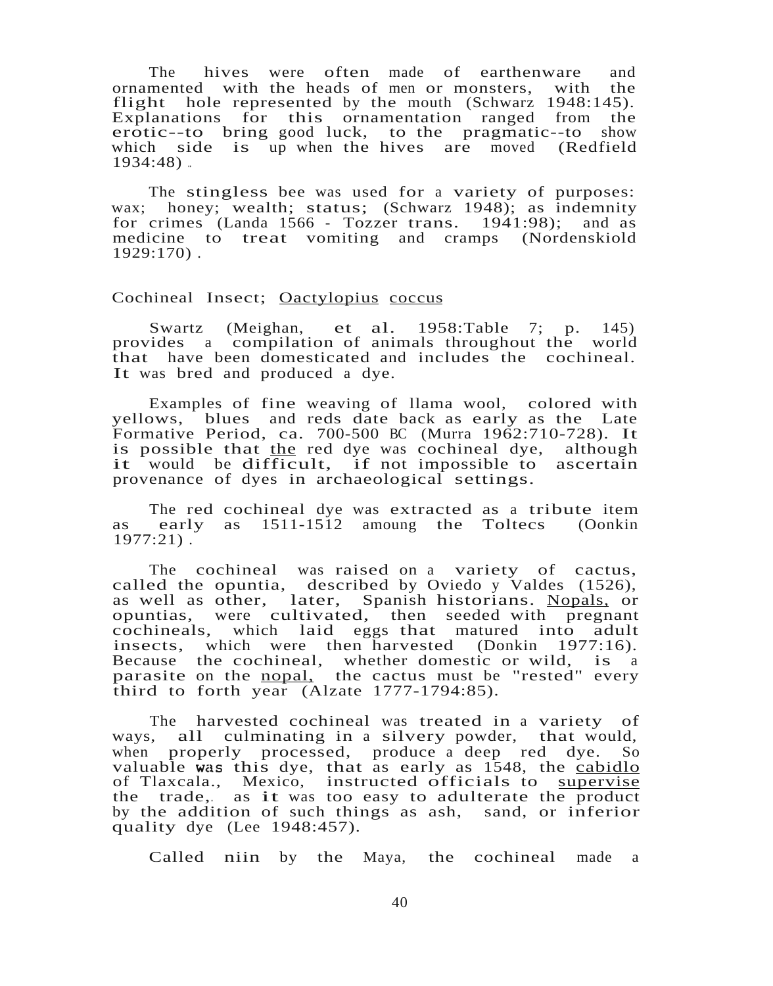The hives were often made of earthenware and ornamented with the heads of men or monsters, with the flight hole represented by the mouth (Schwarz 1948:145). Explanations for this ornamentation ranged from the erotic--to bring good luck, to the pragmatic--to show which side is  $\overline{up}$  when the hives are moved (Redfield 1934:48) ..

The stingless bee was used for a variety of purposes: wax; honey; wealth; status; (Schwarz 1948); as indemnity for crimes (Landa 1566 - Tozzer trans. 1941:98); and as medicine to treat vomiting and cramps (Nordenskiold 1929:170) .

### Cochineal Insect; Oactylopius coccus

Swartz (Meighan, et al. 1958:Table 7; p. 145) provides a compilation of animals throughout the world that have been domesticated and includes the cochineal. It was bred and produced <sup>a</sup> dye.

Examples of fine weaving of llama wool, colored with yellows, blues and reds date back as early as the Late Formative Period, ca. 700-500 BC (Murra 1962:710-728). It is possible that the red dye was cochineal dye, although it would be difficult, if not impossible to ascertain provenance of dyes in archaeological settings.

The red cochineal dye was extracted as <sup>a</sup> tribute item as early as 1511-1512 amoung the Toltecs (Oonkin  $1977:21$ ).

The cochineal was raised on a variety of cactus, called the opuntia, described by Oviedo y Valdes (1526), as well as other, later, Spanish historians. Nopals, or opuntias, were cultivated, then seeded with pregnant cochineals, which laid eggs that matured into adult which laid eggs that matured into adult insects, which were then harvested (Donkin 1977:16). Because the cochineal, whether domestic or wild, is <sup>a</sup> parasite on the nopal, the cactus must be "rested" every third to forth year (Alzate 1777-1794:85).

The harvested cochineal was treated in a variety of ways, all culminating in a silvery powder, that would, when properly processed, produce a deep red dve. So when properly processed, produce a deep red dye. valuable was this dye, that as early as  $1548$ , the cabidlo of Tlaxcala., Mexico, instructed officials to supervise of Haxcala., Mexico, instructed officials to supervise<br>the trade, as it was too easy to adulterate the product by the addition of such things as ash, sand, or inferior quality dye (Lee 1948:457).

Called niin by the Maya, the cochineal made a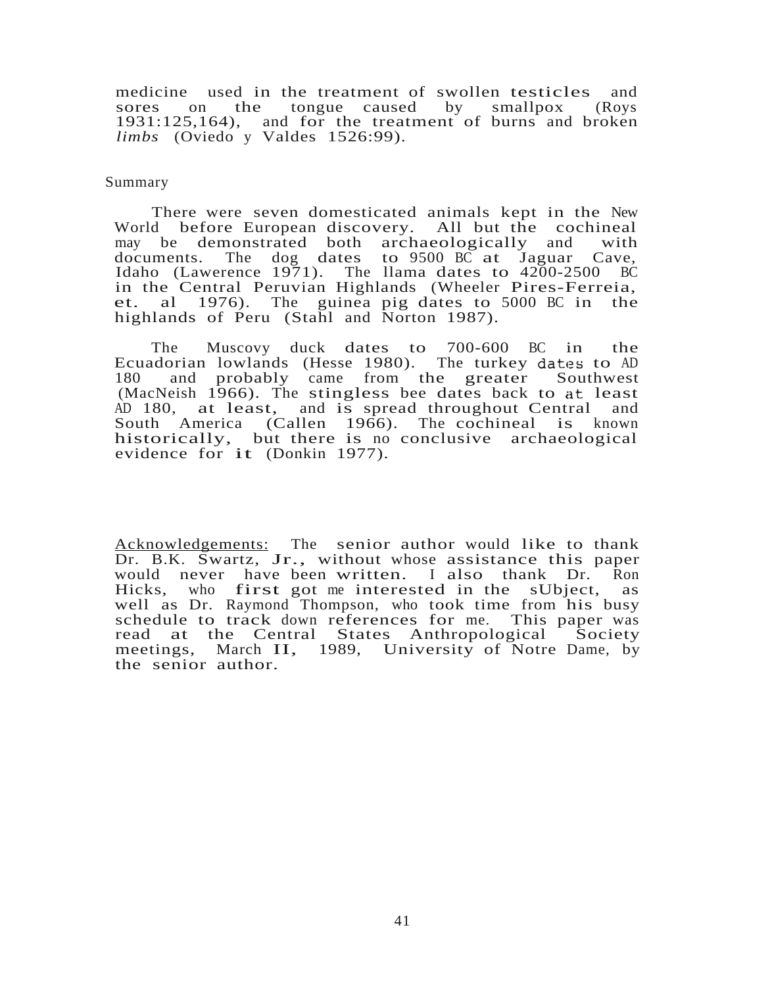medicine used in the treatment of swollen testicles and sores on the tongue caused by smallpox (Roys tongue caused 1931:125,164), and for the treatment of burns and broken *limbs* (Oviedo y Valdes 1526:99).

#### Summary

There were seven domesticated animals kept in the New World before European discovery. All but the cochineal may be demonstrated both archaeologically and with may be demonstrated both archaeologically and with documents. The dog dates to 9500 BC at Jaguar Cave, documents. The dog dates to  $9500$  BC at Jaguar Idaho (Lawerence 1971). The llama dates to 4200-2500 BC in the Central Peruvian Highlands (Wheeler Pires-Ferreia, et. al 1976). The guinea pig dates to 5000 BC in the highlands of Peru (Stahl and Norton 1987).

The Muscovy duck dates to 700-600 BC in the Ecuadorian lowlands (Hesse 1980). The turkey dates to AD<br>180 and probably came from the greater Southwest and probably came from the greater Southwest (MacNeish 1966). The stingless bee dates back to at least AD 180, at least, and is spread throughout Central and South America (Callen 1966). The cochineal is known historically, but there is no conclusive archaeological evidence for it (Donkin 1977).

Acknowledgements: The senior author would like to thank Dr. B.K. Swartz, Jr., without whose assistance this paper would never have been written. I also thank Dr. Ron Hicks, who first got me interested in the sUbject, as well as Dr. Raymond Thompson, who took time from his busy schedule to track down references for me. This paper was read at the Central States Anthropological Society meetings, March II, 1989, University of Notre Dame, by the senior author.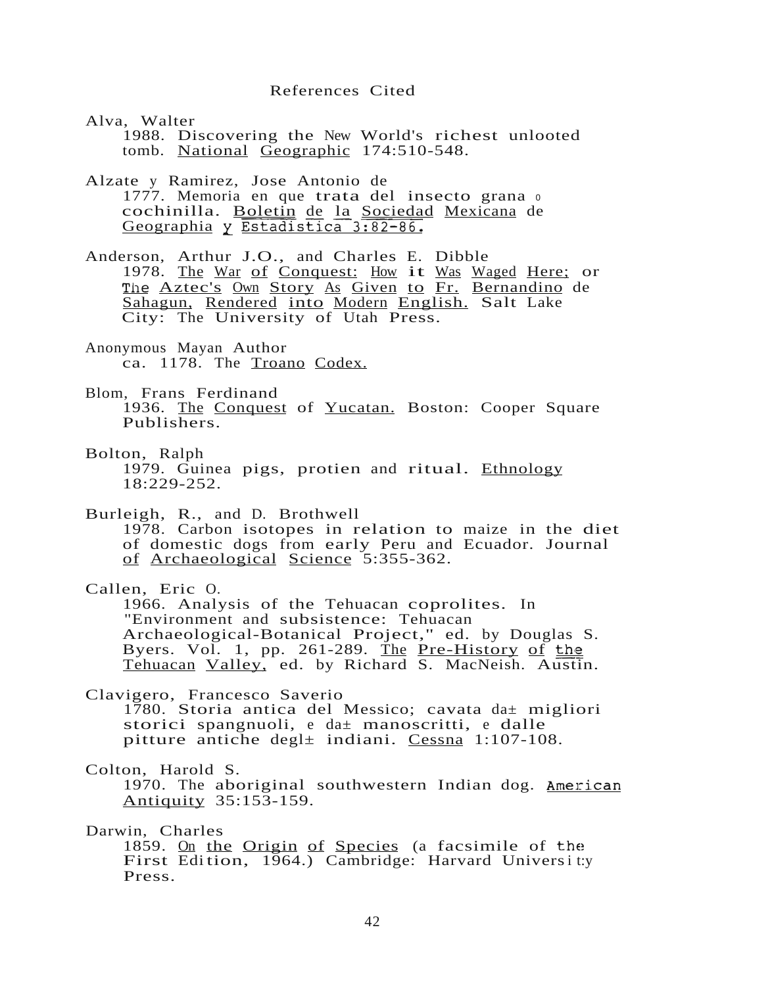## References Cited

Alva, Walter 1988. Discovering the New World's richest unlooted tomb. National Geographic 174:510-548.

Alzate y Ramirez, Jose Antonio de 1777. Memoria en que trata del insecto grana <sup>0</sup> cochinilla. Boletin de la Sociedad Mexicana de Geographia y Estadistica 3:82-86.

Anderson, Arthur J.O., and Charles E. Dibble 1978. The War of Conquest: How it Was Waged Here; or The Aztec's Own Story As Given to Fr. Bernandino de Sahagun, Rendered into Modern English. Salt Lake City: The University of Utah Press.

Anonymous Mayan Author ca. 1178. The Troano Codex.

- Blom, Frans Ferdinand 1936. The Conquest of Yucatan. Boston: Cooper Square Publishers.
- Bolton, Ralph 1979. Guinea pigs, protien and ritual. Ethnology 18:229-252.

Burleigh, R., and D. Brothwell

1978. Carbon isotopes in relation to maize in the diet of domestic dogs from early Peru and Ecuador. Journal of Archaeological Science 5:355-362.

Callen, Eric O.

1966. Analysis of the Tehuacan coprolites. In "Environment and subsistence: Tehuacan Archaeological-Botanical Project," ed. by Douglas S. Byers. Vol. 1, pp. 261-289. The Pre-History of the Tehuacan Valley, ed. by Richard S. MacNeish. Austin.

Clavigero, Francesco Saverio 1780. Storia antica del Messico; cavata da± migliori storici spangnuoli, <sup>e</sup> da± manoscritti, <sup>e</sup> dalle pitture antiche degl± indiani. Cessna 1:107-108.

Colton, Harold S.

1970. The aboriginal southwestern Indian dog. American Antiquity 35:153-159.

Darwin, Charles

1859. On the Origin of Species (a facsimile of the First Edition, 1964.) Cambridge: Harvard Universit:y Press.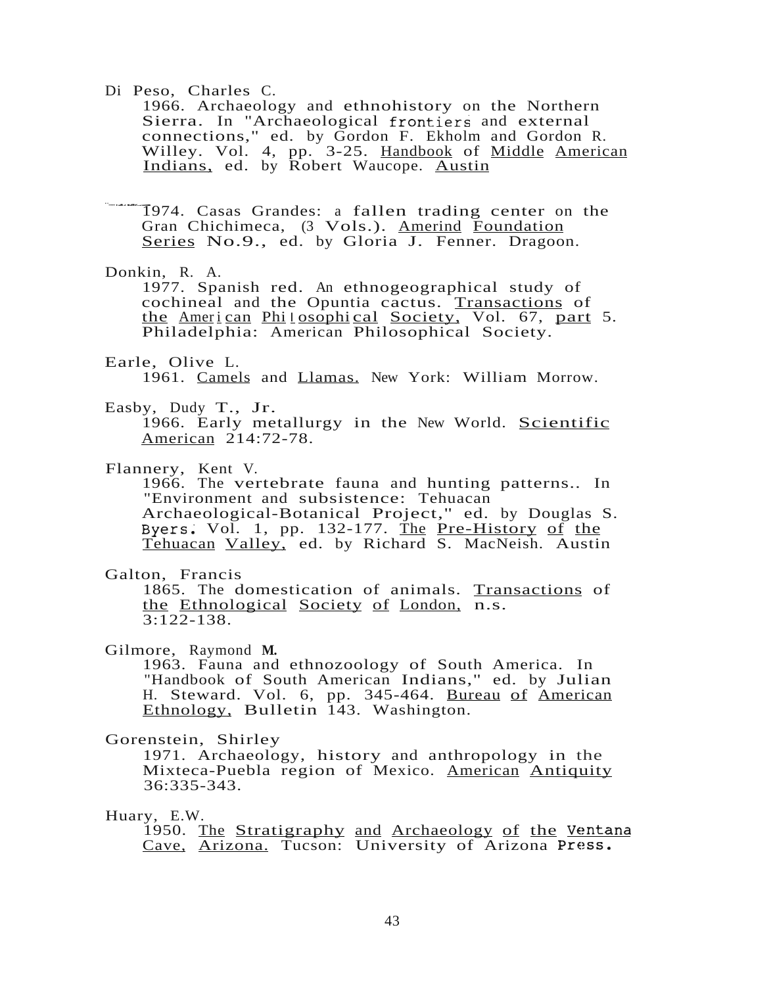Di Peso, Charles C.

1966. Archaeology and ethnohistory on the Northern Sierra. In "Archaeological frontiers and external connections," ed. by Gordon F. Ekholm and Gordon R. Willey. Vol. 4, pp. 3-25. Handbook of Middle American Indians, ed. by Robert Waucope. Austin

.<br>-<br>1 1974. Casas Grandes: <sup>a</sup> fallen trading center on the Gran Chichimeca, (3 Vols.). Amerind Foundation Series No.9., ed. by Gloria J. Fenner. Dragoon.

#### Donkin, R. A.

1977. Spanish red. An ethnogeographical study of cochineal and the Opuntia cactus. Transactions of the American Philosophical Society, Vol. 67, part 5. Philadelphia: American Philosophical Society.

## Earle, Olive L.

1961. Camels and Llamas. New York: William Morrow.

## Easby, Dudy T., Jr.

1966. Early metallurgy in the New World. Scientific American 214:72-78.

## Flannery, Kent V.

1966. The vertebrate fauna and hunting patterns.. In "Environment and subsistence: Tehuacan Archaeological-Botanical Project," ed. by Douglas S. Byers. Vol. 1, pp. 132-177. The Pre-History of the Tehuacan Valley, ed. by Richard S. MacNeish. Austin

## Galton, Francis

1865. The domestication of animals. Transactions of the Ethnological Society of London, n.s.  $3:122-138$ .

Gilmore, Raymond **M.**

1963. Fauna and ethnozoology of South America. In "Handbook of South American Indians," ed. by Julian H. Steward. Vol. 6, pp. 345-464. Bureau of American Ethnology, Bulletin 143. Washington.

### Gorenstein, Shirley

1971. Archaeology, history and anthropology in the Mixteca-Puebla region of Mexico. American Antiquity 36:335-343.

# Huary, E.W.

1950. The Stratigraphy and Archaeology of the Ventana Cave, Arizona. Tucson: University of Arizona Press.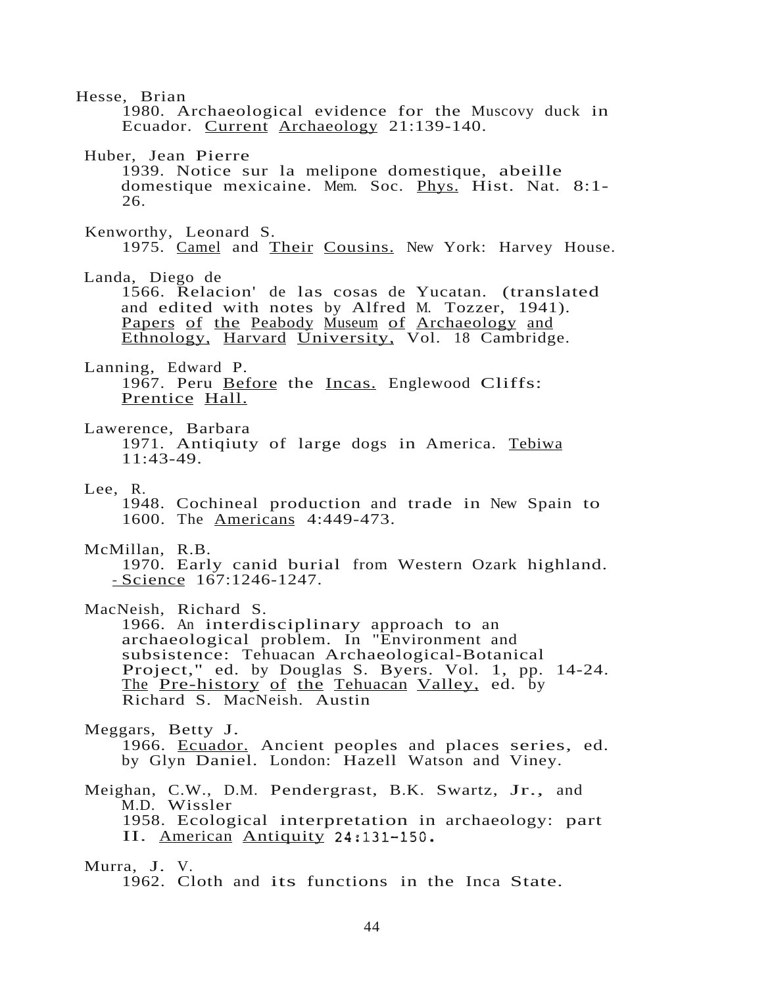Hesse, Brian 1980. Archaeological evidence for the Muscovy duck in Ecuador. Current Archaeology 21:139-140. Huber, Jean Pierre 1939. Notice sur la melipone domestique, abeille domestique mexicaine. Mem. Soc. Phys. Hist. Nat. 8:1- 26. Kenworthy, Leonard S. 1975. Camel and Their Cousins. New York: Harvey House. Landa, Diego de 1566. Relacion' de las cosas de Yucatan. (translated and edited with notes by Alfred M. Tozzer, 1941). Papers of the Peabody Museum of Archaeology and Ethnology, Harvard University, Vol. 18 Cambridge. Lanning, Edward P. 1967. Peru Before the Incas. Englewood Cliffs: Prentice Hall. Lawerence, Barbara 1971. Antiqiuty of large dogs in America. Tebiwa 11:43-49. Lee, R. 1948. Cochineal production and trade in New Spain to 1600. The Americans 4:449-473. McMillan, R.B. 1970. Early canid burial from Western Ozark highland. - Science 167:1246-1247. MacNeish, Richard S. 1966. An interdisciplinary approach to an archaeological problem. In "Environment and subsistence: Tehuacan Archaeological-Botanical Project," ed. by Douglas S. Byers. Vol. 1, pp. 14-24. The Pre-history of the Tehuacan Valley, ed. by Richard S. MacNeish. Austin Meggars, Betty J. 1966. Ecuador. Ancient peoples and places series, ed. by Glyn Daniel. London: Hazell Watson and Viney. Meighan, C.W., D.M. Pendergrast, B.K. Swartz, Jr., and M.D. Wissler 1958. Ecological interpretation in archaeology: part II. American Antiquity 24:131-150. Murra, J. V. 1962. Cloth and its functions in the Inca State.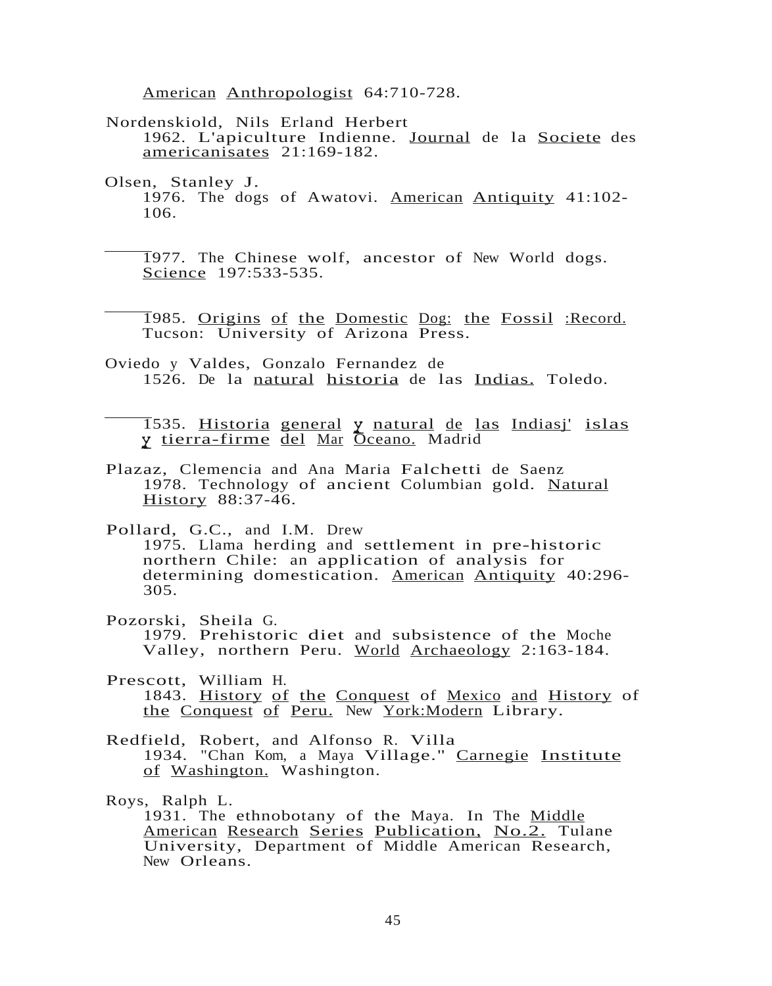American Anthropologist 64:710-728.

- Nordenskiold, Nils Erland Herbert 1962. L'apiculture Indienne. Journal de la Societe des americanisates 21:169-182.
- Olsen, Stanley J. 1976. The dogs of Awatovi. American Antiquity 41:102- 106.

1977. The Chinese wolf, ancestor of New World dogs. Science 197:533-535.

- 1985. Origins of the Domestic Dog: the Fossil :Record. Tucson: University of Arizona Press.
- Oviedo y Valdes, Gonzalo Fernandez de 1526. De la natural historia de las Indias. Toledo.

1535. Historia general y natural de las Indiasj' islas y tierra-firme del Mar Oceano. Madrid

- Plazaz, Clemencia and Ana Maria Falchetti de Saenz 1978. Technology of ancient Columbian gold. Natural History 88:37-46.
- Pollard, G.C., and I.M. Drew

1975. Llama herding and settlement in pre-historic northern Chile: an application of analysis for determining domestication. American Antiquity 40:296- 305.

- Pozorski, Sheila G. 1979. Prehistoric diet and subsistence of the Moche Valley, northern Peru. World Archaeology 2:163-184.
- Prescott, William H. 1843. History of the Conquest of Mexico and History of the Conquest of Peru. New York:Modern Library.
- Redfield, Robert, and Alfonso R. Villa 1934. "Chan Kom, <sup>a</sup> Maya Village." Carnegie Institute of Washington. Washington.

Roys, Ralph L. 1931. The ethnobotany of the Maya. In The Middle American Research Series Publication, No.2. Tulane University, Department of Middle American Research, New Orleans.